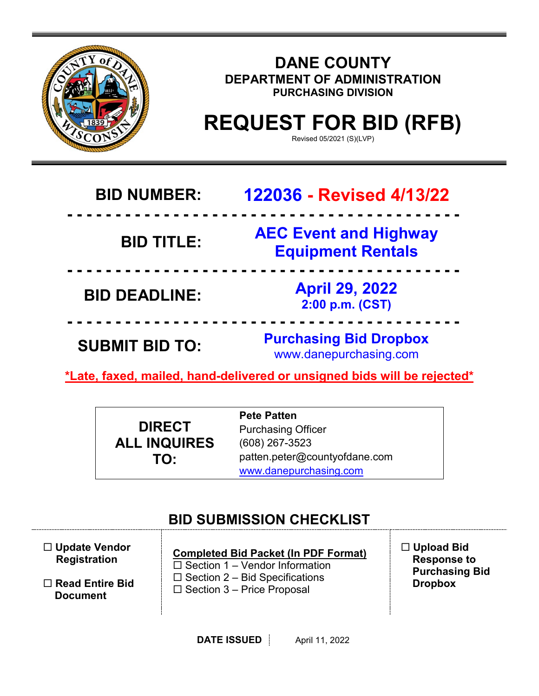

### **DANE COUNTY DEPARTMENT OF ADMINISTRATION PURCHASING DIVISION**

# **REQUEST FOR BID (RFB)**

Revised 05/2021 (S)(LVP)

## **BID NUMBER: 122036 - Revised 4/13/22**

## **BID TITLE:**

**- - - - - - - - - - - - - - - - - - - - - - - - - - - - - - - - - - - - - - - - - AEC Event and Highway Equipment Rentals**

**- - - - - - - - - - - - - - - - - - - - - - - - - - - - - - - - - - - - - - - - - BID DEADLINE: April 29, 2022 2:00 p.m. (CST)**

**SUBMIT BID TO: Purchasing Bid Dropbox** www.danepurchasing.com

**\*Late, faxed, mailed, hand-delivered or unsigned bids will be rejected\***

**- - - - - - - - - - - - - - - - - - - - - - - - - - - - - - - - - - - - - - - - -**

|                     | <b>Pete Patten</b>            |
|---------------------|-------------------------------|
| <b>DIRECT</b>       | <b>Purchasing Officer</b>     |
| <b>ALL INQUIRES</b> | $(608)$ 267-3523              |
| TO:                 | patten.peter@countyofdane.com |
|                     | www.danepurchasing.com        |

## **BID SUBMISSION CHECKLIST**

 **Update Vendor Registration**

 **Read Entire Bid Document**

**Completed Bid Packet (In PDF Format)**  $\square$  Section 1 – Vendor Information  $\square$  Section 2 – Bid Specifications  $\square$  Section 3 – Price Proposal

 **Upload Bid Response to Purchasing Bid Dropbox**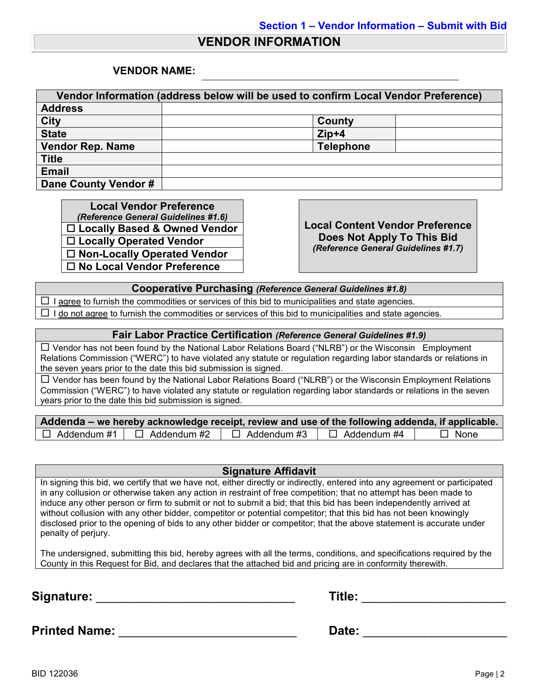#### **VENDOR INFORMATION**

#### **VENDOR NAME:**

| Vendor Information (address below will be used to confirm Local Vendor Preference) |                  |  |
|------------------------------------------------------------------------------------|------------------|--|
| <b>Address</b>                                                                     |                  |  |
| <b>City</b>                                                                        | County           |  |
| <b>State</b>                                                                       | $Zip+4$          |  |
| <b>Vendor Rep. Name</b>                                                            | <b>Telephone</b> |  |
| <b>Title</b>                                                                       |                  |  |
| <b>Email</b>                                                                       |                  |  |
| Dane County Vendor #                                                               |                  |  |

**Local Vendor Preference**<br>(*Reference General Guidelines #1.6*) *(Reference General Guidelines #1.6)* **Local Content Vendor Preference Locally Based & Owned Vendor Locally Operated Vendor Non-Locally Operated Vendor No Local Vendor Preference**

**Does Not Apply To This Bid** *(Reference General Guidelines #1.7)*

**Cooperative Purchasing** *(Reference General Guidelines #1.8)*

 $\Box$  I agree to furnish the commodities or services of this bid to municipalities and state agencies.  $\Box$  I do not agree to furnish the commodities or services of this bid to municipalities and state agencies.

#### **Fair Labor Practice Certification** *(Reference General Guidelines #1.9)*

 Vendor has not been found by the National Labor Relations Board ("NLRB") or the Wisconsin Employment Relations Commission ("WERC") to have violated any statute or regulation regarding labor standards or relations in the seven years prior to the date this bid submission is signed.

 Vendor has been found by the National Labor Relations Board ("NLRB") or the Wisconsin Employment Relations Commission ("WERC") to have violated any statute or regulation regarding labor standards or relations in the seven years prior to the date this bid submission is signed.

| Addenda – we hereby acknowledge receipt, review and use of the following addenda, if applicable. |                    |                    |                    |             |
|--------------------------------------------------------------------------------------------------|--------------------|--------------------|--------------------|-------------|
| $\Box$ Addendum #1                                                                               | $\Box$ Addendum #2 | $\Box$ Addendum #3 | $\Box$ Addendum #4 | $\Box$ None |

#### **Signature Affidavit**

In signing this bid, we certify that we have not, either directly or indirectly, entered into any agreement or participated in any collusion or otherwise taken any action in restraint of free competition; that no attempt has been made to induce any other person or firm to submit or not to submit a bid; that this bid has been independently arrived at without collusion with any other bidder, competitor or potential competitor; that this bid has not been knowingly disclosed prior to the opening of bids to any other bidder or competitor; that the above statement is accurate under penalty of perjury.

The undersigned, submitting this bid, hereby agrees with all the terms, conditions, and specifications required by the County in this Request for Bid, and declares that the attached bid and pricing are in conformity therewith.

**Signature:** \_\_\_\_\_\_\_\_\_\_\_\_\_\_\_\_\_\_\_\_\_\_\_\_\_\_\_\_\_ **Title:** \_\_\_\_\_\_\_\_\_\_\_\_\_\_\_\_\_\_\_\_\_

| Title: |  |
|--------|--|
|        |  |

**Printed Name:** \_\_\_\_\_\_\_\_\_\_\_\_\_\_\_\_\_\_\_\_\_\_\_\_\_\_ **Date:** \_\_\_\_\_\_\_\_\_\_\_\_\_\_\_\_\_\_\_\_\_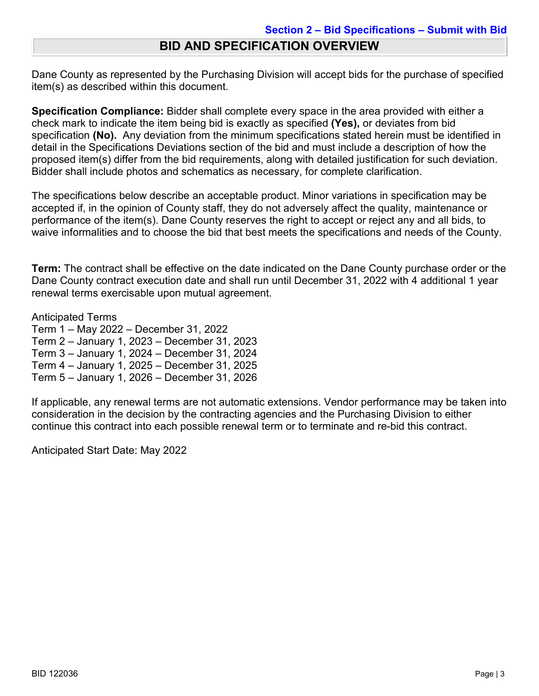### **BID AND SPECIFICATION OVERVIEW**

Dane County as represented by the Purchasing Division will accept bids for the purchase of specified item(s) as described within this document.

**Specification Compliance:** Bidder shall complete every space in the area provided with either a check mark to indicate the item being bid is exactly as specified **(Yes),** or deviates from bid specification **(No).** Any deviation from the minimum specifications stated herein must be identified in detail in the Specifications Deviations section of the bid and must include a description of how the proposed item(s) differ from the bid requirements, along with detailed justification for such deviation. Bidder shall include photos and schematics as necessary, for complete clarification.

The specifications below describe an acceptable product. Minor variations in specification may be accepted if, in the opinion of County staff, they do not adversely affect the quality, maintenance or performance of the item(s). Dane County reserves the right to accept or reject any and all bids, to waive informalities and to choose the bid that best meets the specifications and needs of the County.

**Term:** The contract shall be effective on the date indicated on the Dane County purchase order or the Dane County contract execution date and shall run until December 31, 2022 with 4 additional 1 year renewal terms exercisable upon mutual agreement.

Anticipated Terms

Term 1 – May 2022 – December 31, 2022

Term 2 – January 1, 2023 – December 31, 2023

Term 3 – January 1, 2024 – December 31, 2024

Term 4 – January 1, 2025 – December 31, 2025

Term 5 – January 1, 2026 – December 31, 2026

If applicable, any renewal terms are not automatic extensions. Vendor performance may be taken into consideration in the decision by the contracting agencies and the Purchasing Division to either continue this contract into each possible renewal term or to terminate and re-bid this contract.

Anticipated Start Date: May 2022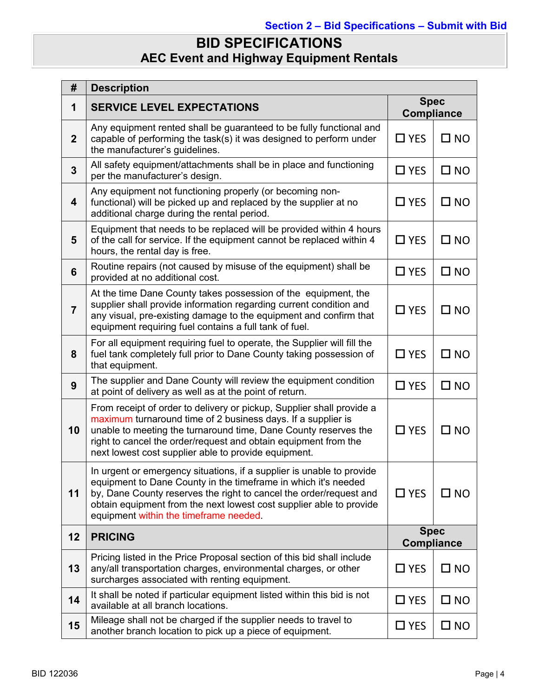## **BID SPECIFICATIONS AEC Event and Highway Equipment Rentals**

| #                       | <b>Description</b>                                                                                                                                                                                                                                                                                                                  |                                  |              |
|-------------------------|-------------------------------------------------------------------------------------------------------------------------------------------------------------------------------------------------------------------------------------------------------------------------------------------------------------------------------------|----------------------------------|--------------|
| 1                       | <b>Spec</b><br><b>SERVICE LEVEL EXPECTATIONS</b><br><b>Compliance</b>                                                                                                                                                                                                                                                               |                                  |              |
| 2 <sup>2</sup>          | Any equipment rented shall be guaranteed to be fully functional and<br>capable of performing the task(s) it was designed to perform under<br>the manufacturer's guidelines.                                                                                                                                                         | $\Box$ YES                       | $\square$ NO |
| $\overline{3}$          | All safety equipment/attachments shall be in place and functioning<br>per the manufacturer's design.                                                                                                                                                                                                                                | $\Box$ YES                       | $\square$ NO |
| $\overline{\mathbf{4}}$ | Any equipment not functioning properly (or becoming non-<br>functional) will be picked up and replaced by the supplier at no<br>additional charge during the rental period.                                                                                                                                                         | $\Box$ YES                       | $\square$ NO |
| 5                       | Equipment that needs to be replaced will be provided within 4 hours<br>of the call for service. If the equipment cannot be replaced within 4<br>hours, the rental day is free.                                                                                                                                                      | $\Box$ YES                       | $\square$ NO |
| $6\phantom{1}$          | Routine repairs (not caused by misuse of the equipment) shall be<br>provided at no additional cost.                                                                                                                                                                                                                                 | $\Box$ YES                       | $\square$ NO |
| $\overline{7}$          | At the time Dane County takes possession of the equipment, the<br>supplier shall provide information regarding current condition and<br>any visual, pre-existing damage to the equipment and confirm that<br>equipment requiring fuel contains a full tank of fuel.                                                                 | $\Box$ YES                       | $\square$ NO |
| 8                       | For all equipment requiring fuel to operate, the Supplier will fill the<br>fuel tank completely full prior to Dane County taking possession of<br>that equipment.                                                                                                                                                                   | $\Box$ YES                       | $\square$ NO |
| $\boldsymbol{9}$        | The supplier and Dane County will review the equipment condition<br>at point of delivery as well as at the point of return.                                                                                                                                                                                                         | $\Box$ YES                       | $\square$ NO |
| 10                      | From receipt of order to delivery or pickup, Supplier shall provide a<br>maximum turnaround time of 2 business days. If a supplier is<br>unable to meeting the turnaround time, Dane County reserves the<br>right to cancel the order/request and obtain equipment from the<br>next lowest cost supplier able to provide equipment. | $\Box$ YES                       | $\square$ NO |
| 11                      | In urgent or emergency situations, if a supplier is unable to provide<br>equipment to Dane County in the timeframe in which it's needed<br>by, Dane County reserves the right to cancel the order/request and<br>obtain equipment from the next lowest cost supplier able to provide<br>equipment within the timeframe needed.      | $\Box$ YES                       | $\square$ NO |
| 12                      | <b>PRICING</b>                                                                                                                                                                                                                                                                                                                      | <b>Spec</b><br><b>Compliance</b> |              |
| 13                      | Pricing listed in the Price Proposal section of this bid shall include<br>any/all transportation charges, environmental charges, or other<br>surcharges associated with renting equipment.                                                                                                                                          | $\Box$ YES                       | $\square$ NO |
| 14                      | It shall be noted if particular equipment listed within this bid is not<br>available at all branch locations.                                                                                                                                                                                                                       | $\Box$ YES                       | $\square$ NO |
| 15                      | Mileage shall not be charged if the supplier needs to travel to<br>another branch location to pick up a piece of equipment.                                                                                                                                                                                                         | $\Box$ YES                       | $\square$ NO |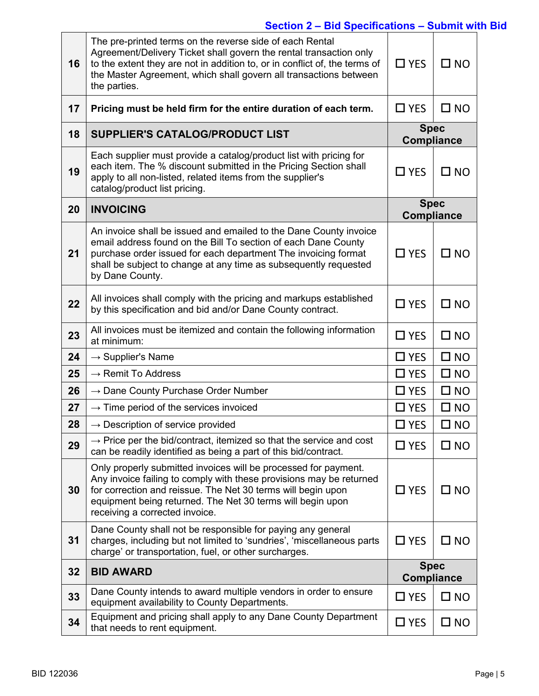## **Section 2 – Bid Specifications – Submit with Bid**

| 16 | The pre-printed terms on the reverse side of each Rental<br>Agreement/Delivery Ticket shall govern the rental transaction only<br>to the extent they are not in addition to, or in conflict of, the terms of<br>the Master Agreement, which shall govern all transactions between<br>the parties.      | $\Box$ YES                       | $\square$ NO |
|----|--------------------------------------------------------------------------------------------------------------------------------------------------------------------------------------------------------------------------------------------------------------------------------------------------------|----------------------------------|--------------|
| 17 | Pricing must be held firm for the entire duration of each term.                                                                                                                                                                                                                                        | $\Box$ YES                       | $\square$ NO |
| 18 | <b>SUPPLIER'S CATALOG/PRODUCT LIST</b>                                                                                                                                                                                                                                                                 | <b>Spec</b><br><b>Compliance</b> |              |
| 19 | Each supplier must provide a catalog/product list with pricing for<br>each item. The % discount submitted in the Pricing Section shall<br>apply to all non-listed, related items from the supplier's<br>catalog/product list pricing.                                                                  | $\Box$ YES                       | $\square$ NO |
| 20 | <b>INVOICING</b>                                                                                                                                                                                                                                                                                       | <b>Spec</b><br><b>Compliance</b> |              |
| 21 | An invoice shall be issued and emailed to the Dane County invoice<br>email address found on the Bill To section of each Dane County<br>purchase order issued for each department The invoicing format<br>shall be subject to change at any time as subsequently requested<br>by Dane County.           | $\Box$ YES                       | $\square$ NO |
| 22 | All invoices shall comply with the pricing and markups established<br>by this specification and bid and/or Dane County contract.                                                                                                                                                                       | $\square$ YES                    | $\square$ NO |
| 23 | All invoices must be itemized and contain the following information<br>at minimum:                                                                                                                                                                                                                     | $\Box$ YES                       | $\square$ NO |
| 24 | $\rightarrow$ Supplier's Name                                                                                                                                                                                                                                                                          | $\square$ YES                    | $\square$ NO |
| 25 | $\rightarrow$ Remit To Address                                                                                                                                                                                                                                                                         | $\square$ YES                    | $\square$ NO |
| 26 | $\rightarrow$ Dane County Purchase Order Number                                                                                                                                                                                                                                                        | $\square$ YES                    | $\square$ NO |
| 27 | $\rightarrow$ Time period of the services invoiced                                                                                                                                                                                                                                                     | $\square$ YES                    | $\square$ NO |
| 28 | $\rightarrow$ Description of service provided                                                                                                                                                                                                                                                          | $\square$ YES                    | $\square$ NO |
| 29 | $\rightarrow$ Price per the bid/contract, itemized so that the service and cost<br>can be readily identified as being a part of this bid/contract.                                                                                                                                                     | $\Box$ YES                       | $\square$ NO |
| 30 | Only properly submitted invoices will be processed for payment.<br>Any invoice failing to comply with these provisions may be returned<br>for correction and reissue. The Net 30 terms will begin upon<br>equipment being returned. The Net 30 terms will begin upon<br>receiving a corrected invoice. | $\Box$ YES                       | $\square$ NO |
| 31 | Dane County shall not be responsible for paying any general<br>charges, including but not limited to 'sundries', 'miscellaneous parts<br>charge' or transportation, fuel, or other surcharges.                                                                                                         | $\square$ YES                    | $\square$ NO |
| 32 | <b>BID AWARD</b>                                                                                                                                                                                                                                                                                       | <b>Spec</b><br><b>Compliance</b> |              |
| 33 | Dane County intends to award multiple vendors in order to ensure<br>equipment availability to County Departments.                                                                                                                                                                                      | $\square$ YES                    | $\square$ NO |
| 34 | Equipment and pricing shall apply to any Dane County Department<br>that needs to rent equipment.                                                                                                                                                                                                       | $\square$ YES                    | $\square$ NO |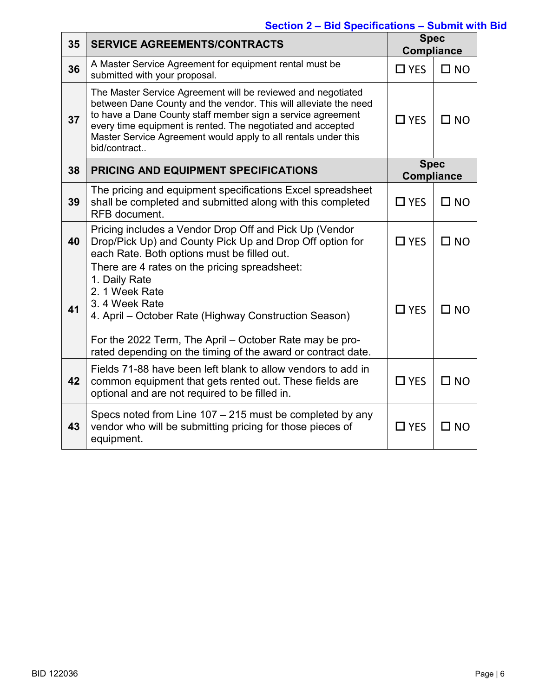## **Section 2 – Bid Specifications – Submit with Bid**

| 35 | <b>SERVICE AGREEMENTS/CONTRACTS</b>                                                                                                                                                                                                                                                                                                              |                                  | <b>Spec</b><br><b>Compliance</b> |  |
|----|--------------------------------------------------------------------------------------------------------------------------------------------------------------------------------------------------------------------------------------------------------------------------------------------------------------------------------------------------|----------------------------------|----------------------------------|--|
| 36 | A Master Service Agreement for equipment rental must be<br>submitted with your proposal.                                                                                                                                                                                                                                                         | $\Box$ YES                       | $\square$ NO                     |  |
| 37 | The Master Service Agreement will be reviewed and negotiated<br>between Dane County and the vendor. This will alleviate the need<br>to have a Dane County staff member sign a service agreement<br>every time equipment is rented. The negotiated and accepted<br>Master Service Agreement would apply to all rentals under this<br>bid/contract | $\Box$ YES                       | $\square$ NO                     |  |
| 38 | PRICING AND EQUIPMENT SPECIFICATIONS                                                                                                                                                                                                                                                                                                             | <b>Spec</b><br><b>Compliance</b> |                                  |  |
| 39 | The pricing and equipment specifications Excel spreadsheet<br>shall be completed and submitted along with this completed<br><b>RFB</b> document.                                                                                                                                                                                                 | $\Box$ YES                       | $\square$ NO                     |  |
| 40 | Pricing includes a Vendor Drop Off and Pick Up (Vendor<br>Drop/Pick Up) and County Pick Up and Drop Off option for<br>each Rate. Both options must be filled out.                                                                                                                                                                                | $\Box$ YES                       | $\square$ NO                     |  |
| 41 | There are 4 rates on the pricing spreadsheet:<br>1. Daily Rate<br>2. 1 Week Rate<br>3.4 Week Rate<br>4. April – October Rate (Highway Construction Season)<br>For the 2022 Term, The April – October Rate may be pro-<br>rated depending on the timing of the award or contract date.                                                            | $\Box$ YES                       | $\square$ NO                     |  |
| 42 | Fields 71-88 have been left blank to allow vendors to add in<br>common equipment that gets rented out. These fields are<br>optional and are not required to be filled in.                                                                                                                                                                        | $\Box$ YES                       | $\square$ NO                     |  |
| 43 | Specs noted from Line $107 - 215$ must be completed by any<br>vendor who will be submitting pricing for those pieces of<br>equipment.                                                                                                                                                                                                            | $\Box$ YES                       | $\square$ NO                     |  |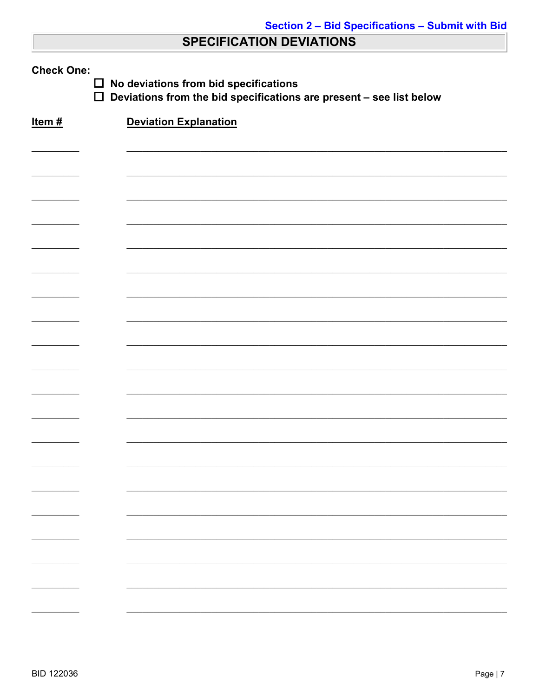## **SPECIFICATION DEVIATIONS**

| <b>Check One:</b><br>No deviations from bid specifications<br>$\Box$<br>$\Box$<br>Deviations from the bid specifications are present - see list below |                              |  |  |
|-------------------------------------------------------------------------------------------------------------------------------------------------------|------------------------------|--|--|
| Item#                                                                                                                                                 | <b>Deviation Explanation</b> |  |  |
|                                                                                                                                                       |                              |  |  |
|                                                                                                                                                       |                              |  |  |
|                                                                                                                                                       |                              |  |  |
|                                                                                                                                                       |                              |  |  |
|                                                                                                                                                       |                              |  |  |
|                                                                                                                                                       |                              |  |  |
|                                                                                                                                                       |                              |  |  |
|                                                                                                                                                       |                              |  |  |
|                                                                                                                                                       |                              |  |  |
|                                                                                                                                                       |                              |  |  |
|                                                                                                                                                       |                              |  |  |
|                                                                                                                                                       |                              |  |  |
|                                                                                                                                                       |                              |  |  |
|                                                                                                                                                       |                              |  |  |
|                                                                                                                                                       |                              |  |  |
|                                                                                                                                                       |                              |  |  |